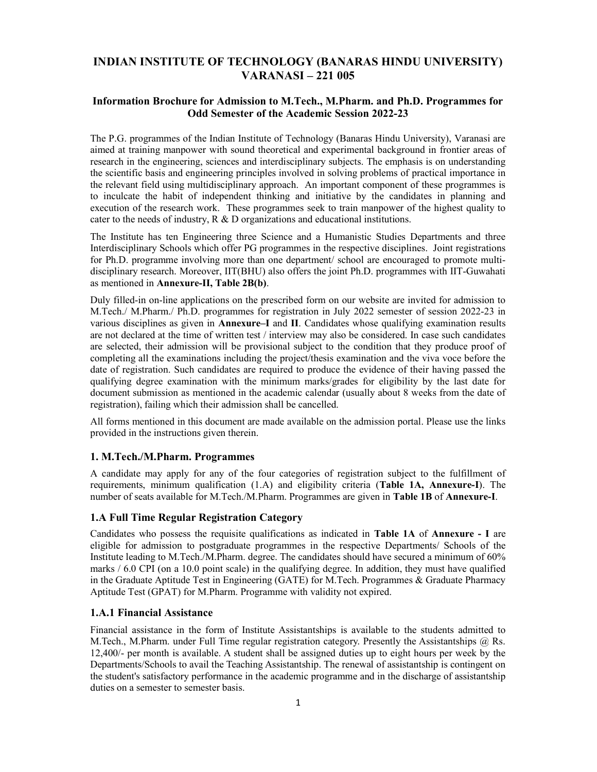# INDIAN INSTITUTE OF TECHNOLOGY (BANARAS HINDU UNIVERSITY) VARANASI – 221 005

## Information Brochure for Admission to M.Tech., M.Pharm. and Ph.D. Programmes for Odd Semester of the Academic Session 2022-23

The P.G. programmes of the Indian Institute of Technology (Banaras Hindu University), Varanasi are aimed at training manpower with sound theoretical and experimental background in frontier areas of research in the engineering, sciences and interdisciplinary subjects. The emphasis is on understanding the scientific basis and engineering principles involved in solving problems of practical importance in the relevant field using multidisciplinary approach. An important component of these programmes is to inculcate the habit of independent thinking and initiative by the candidates in planning and execution of the research work. These programmes seek to train manpower of the highest quality to cater to the needs of industry, R & D organizations and educational institutions.

The Institute has ten Engineering three Science and a Humanistic Studies Departments and three Interdisciplinary Schools which offer PG programmes in the respective disciplines. Joint registrations for Ph.D. programme involving more than one department/ school are encouraged to promote multidisciplinary research. Moreover, IIT(BHU) also offers the joint Ph.D. programmes with IIT-Guwahati as mentioned in Annexure-II, Table 2B(b).

Duly filled-in on-line applications on the prescribed form on our website are invited for admission to M.Tech./ M.Pharm./ Ph.D. programmes for registration in July 2022 semester of session 2022-23 in various disciplines as given in Annexure–I and II. Candidates whose qualifying examination results are not declared at the time of written test / interview may also be considered. In case such candidates are selected, their admission will be provisional subject to the condition that they produce proof of completing all the examinations including the project/thesis examination and the viva voce before the date of registration. Such candidates are required to produce the evidence of their having passed the qualifying degree examination with the minimum marks/grades for eligibility by the last date for document submission as mentioned in the academic calendar (usually about 8 weeks from the date of registration), failing which their admission shall be cancelled.

All forms mentioned in this document are made available on the admission portal. Please use the links provided in the instructions given therein.

### 1. M.Tech./M.Pharm. Programmes

A candidate may apply for any of the four categories of registration subject to the fulfillment of requirements, minimum qualification (1.A) and eligibility criteria (Table 1A, Annexure-I). The number of seats available for M.Tech./M.Pharm. Programmes are given in Table 1B of Annexure-I.

### 1.A Full Time Regular Registration Category

Candidates who possess the requisite qualifications as indicated in Table 1A of Annexure - I are eligible for admission to postgraduate programmes in the respective Departments/ Schools of the Institute leading to M.Tech./M.Pharm. degree. The candidates should have secured a minimum of 60% marks / 6.0 CPI (on a 10.0 point scale) in the qualifying degree. In addition, they must have qualified in the Graduate Aptitude Test in Engineering (GATE) for M.Tech. Programmes & Graduate Pharmacy Aptitude Test (GPAT) for M.Pharm. Programme with validity not expired.

# 1.A.1 Financial Assistance

Financial assistance in the form of Institute Assistantships is available to the students admitted to M.Tech., M.Pharm. under Full Time regular registration category. Presently the Assistantships @ Rs. 12,400/- per month is available. A student shall be assigned duties up to eight hours per week by the Departments/Schools to avail the Teaching Assistantship. The renewal of assistantship is contingent on the student's satisfactory performance in the academic programme and in the discharge of assistantship duties on a semester to semester basis.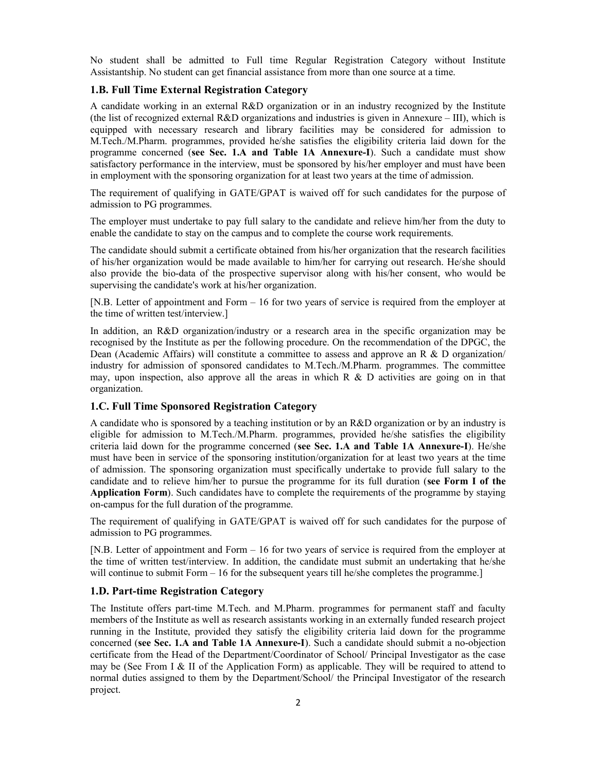No student shall be admitted to Full time Regular Registration Category without Institute Assistantship. No student can get financial assistance from more than one source at a time.

### 1.B. Full Time External Registration Category

A candidate working in an external R&D organization or in an industry recognized by the Institute (the list of recognized external R&D organizations and industries is given in Annexure – III), which is equipped with necessary research and library facilities may be considered for admission to M.Tech./M.Pharm. programmes, provided he/she satisfies the eligibility criteria laid down for the programme concerned (see Sec. 1.A and Table 1A Annexure-I). Such a candidate must show satisfactory performance in the interview, must be sponsored by his/her employer and must have been in employment with the sponsoring organization for at least two years at the time of admission.

The requirement of qualifying in GATE/GPAT is waived off for such candidates for the purpose of admission to PG programmes.

The employer must undertake to pay full salary to the candidate and relieve him/her from the duty to enable the candidate to stay on the campus and to complete the course work requirements.

The candidate should submit a certificate obtained from his/her organization that the research facilities of his/her organization would be made available to him/her for carrying out research. He/she should also provide the bio-data of the prospective supervisor along with his/her consent, who would be supervising the candidate's work at his/her organization.

[N.B. Letter of appointment and Form – 16 for two years of service is required from the employer at the time of written test/interview.]

In addition, an R&D organization/industry or a research area in the specific organization may be recognised by the Institute as per the following procedure. On the recommendation of the DPGC, the Dean (Academic Affairs) will constitute a committee to assess and approve an R & D organization industry for admission of sponsored candidates to M.Tech./M.Pharm. programmes. The committee may, upon inspection, also approve all the areas in which R  $\&$  D activities are going on in that organization.

### 1.C. Full Time Sponsored Registration Category

A candidate who is sponsored by a teaching institution or by an R&D organization or by an industry is eligible for admission to M.Tech./M.Pharm. programmes, provided he/she satisfies the eligibility criteria laid down for the programme concerned (see Sec. 1.A and Table 1A Annexure-I). He/she must have been in service of the sponsoring institution/organization for at least two years at the time of admission. The sponsoring organization must specifically undertake to provide full salary to the candidate and to relieve him/her to pursue the programme for its full duration (see Form I of the Application Form). Such candidates have to complete the requirements of the programme by staying on-campus for the full duration of the programme.

The requirement of qualifying in GATE/GPAT is waived off for such candidates for the purpose of admission to PG programmes.

[N.B. Letter of appointment and Form – 16 for two years of service is required from the employer at the time of written test/interview. In addition, the candidate must submit an undertaking that he/she will continue to submit Form – 16 for the subsequent years till he/she completes the programme.]

### 1.D. Part-time Registration Category

The Institute offers part-time M.Tech. and M.Pharm. programmes for permanent staff and faculty members of the Institute as well as research assistants working in an externally funded research project running in the Institute, provided they satisfy the eligibility criteria laid down for the programme concerned (see Sec. 1.A and Table 1A Annexure-I). Such a candidate should submit a no-objection certificate from the Head of the Department/Coordinator of School/ Principal Investigator as the case may be (See From I & II of the Application Form) as applicable. They will be required to attend to normal duties assigned to them by the Department/School/ the Principal Investigator of the research project.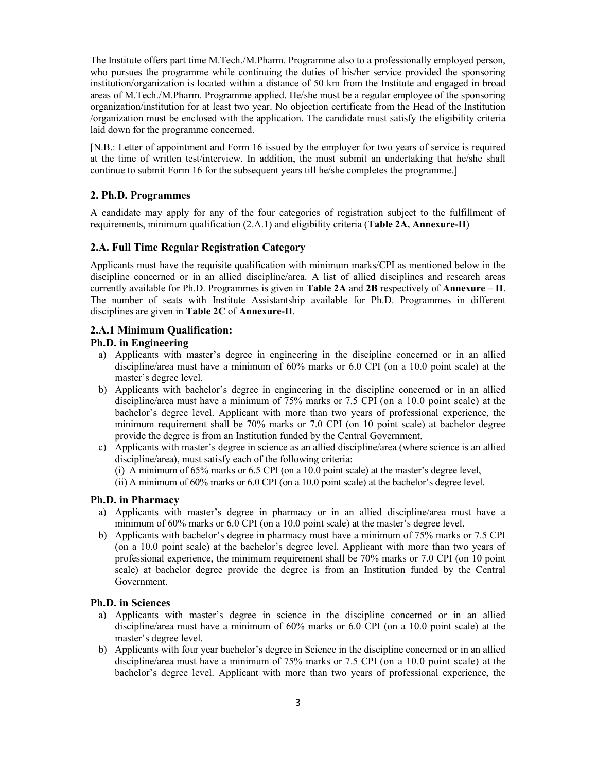The Institute offers part time M.Tech./M.Pharm. Programme also to a professionally employed person, who pursues the programme while continuing the duties of his/her service provided the sponsoring institution/organization is located within a distance of 50 km from the Institute and engaged in broad areas of M.Tech./M.Pharm. Programme applied. He/she must be a regular employee of the sponsoring organization/institution for at least two year. No objection certificate from the Head of the Institution /organization must be enclosed with the application. The candidate must satisfy the eligibility criteria laid down for the programme concerned.

[N.B.: Letter of appointment and Form 16 issued by the employer for two years of service is required at the time of written test/interview. In addition, the must submit an undertaking that he/she shall continue to submit Form 16 for the subsequent years till he/she completes the programme.]

### 2. Ph.D. Programmes

A candidate may apply for any of the four categories of registration subject to the fulfillment of requirements, minimum qualification  $(2.A.1)$  and eligibility criteria (Table 2A, Annexure-II)

### 2.A. Full Time Regular Registration Category

Applicants must have the requisite qualification with minimum marks/CPI as mentioned below in the discipline concerned or in an allied discipline/area. A list of allied disciplines and research areas currently available for Ph.D. Programmes is given in Table 2A and 2B respectively of Annexure –  $II$ . The number of seats with Institute Assistantship available for Ph.D. Programmes in different disciplines are given in Table 2C of Annexure-II.

## 2.A.1 Minimum Qualification:

### Ph.D. in Engineering

- a) Applicants with master's degree in engineering in the discipline concerned or in an allied discipline/area must have a minimum of 60% marks or 6.0 CPI (on a 10.0 point scale) at the master's degree level.
- b) Applicants with bachelor's degree in engineering in the discipline concerned or in an allied discipline/area must have a minimum of 75% marks or 7.5 CPI (on a 10.0 point scale) at the bachelor's degree level. Applicant with more than two years of professional experience, the minimum requirement shall be 70% marks or 7.0 CPI (on 10 point scale) at bachelor degree provide the degree is from an Institution funded by the Central Government.
- c) Applicants with master's degree in science as an allied discipline/area (where science is an allied discipline/area), must satisfy each of the following criteria:
	- (i) A minimum of 65% marks or 6.5 CPI (on a 10.0 point scale) at the master's degree level,
	- (ii) A minimum of 60% marks or 6.0 CPI (on a 10.0 point scale) at the bachelor's degree level.

### Ph.D. in Pharmacy

- a) Applicants with master's degree in pharmacy or in an allied discipline/area must have a minimum of 60% marks or 6.0 CPI (on a 10.0 point scale) at the master's degree level.
- b) Applicants with bachelor's degree in pharmacy must have a minimum of 75% marks or 7.5 CPI (on a 10.0 point scale) at the bachelor's degree level. Applicant with more than two years of professional experience, the minimum requirement shall be 70% marks or 7.0 CPI (on 10 point scale) at bachelor degree provide the degree is from an Institution funded by the Central Government.

### Ph.D. in Sciences

- a) Applicants with master's degree in science in the discipline concerned or in an allied discipline/area must have a minimum of 60% marks or 6.0 CPI (on a 10.0 point scale) at the master's degree level.
- b) Applicants with four year bachelor's degree in Science in the discipline concerned or in an allied discipline/area must have a minimum of 75% marks or 7.5 CPI (on a 10.0 point scale) at the bachelor's degree level. Applicant with more than two years of professional experience, the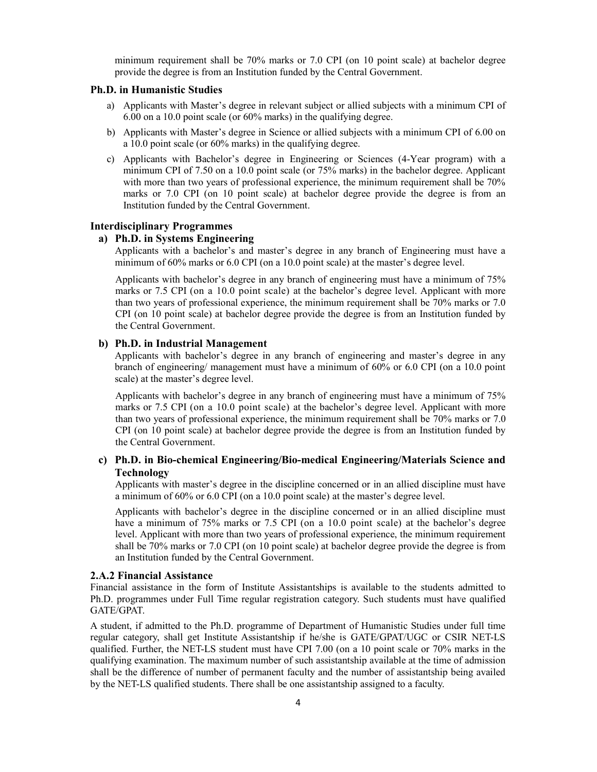minimum requirement shall be 70% marks or 7.0 CPI (on 10 point scale) at bachelor degree provide the degree is from an Institution funded by the Central Government.

#### Ph.D. in Humanistic Studies

- a) Applicants with Master's degree in relevant subject or allied subjects with a minimum CPI of 6.00 on a 10.0 point scale (or 60% marks) in the qualifying degree.
- b) Applicants with Master's degree in Science or allied subjects with a minimum CPI of 6.00 on a 10.0 point scale (or 60% marks) in the qualifying degree.
- c) Applicants with Bachelor's degree in Engineering or Sciences (4-Year program) with a minimum CPI of 7.50 on a 10.0 point scale (or 75% marks) in the bachelor degree. Applicant with more than two years of professional experience, the minimum requirement shall be 70% marks or 7.0 CPI (on 10 point scale) at bachelor degree provide the degree is from an Institution funded by the Central Government.

#### Interdisciplinary Programmes

# a) Ph.D. in Systems Engineering

 Applicants with a bachelor's and master's degree in any branch of Engineering must have a minimum of 60% marks or 6.0 CPI (on a 10.0 point scale) at the master's degree level.

 Applicants with bachelor's degree in any branch of engineering must have a minimum of 75% marks or 7.5 CPI (on a 10.0 point scale) at the bachelor's degree level. Applicant with more than two years of professional experience, the minimum requirement shall be 70% marks or 7.0 CPI (on 10 point scale) at bachelor degree provide the degree is from an Institution funded by the Central Government.

### b) Ph.D. in Industrial Management

 Applicants with bachelor's degree in any branch of engineering and master's degree in any branch of engineering/ management must have a minimum of 60% or 6.0 CPI (on a 10.0 point scale) at the master's degree level.

 Applicants with bachelor's degree in any branch of engineering must have a minimum of 75% marks or 7.5 CPI (on a 10.0 point scale) at the bachelor's degree level. Applicant with more than two years of professional experience, the minimum requirement shall be 70% marks or 7.0 CPI (on 10 point scale) at bachelor degree provide the degree is from an Institution funded by the Central Government.

### c) Ph.D. in Bio-chemical Engineering/Bio-medical Engineering/Materials Science and Technology

 Applicants with master's degree in the discipline concerned or in an allied discipline must have a minimum of 60% or 6.0 CPI (on a 10.0 point scale) at the master's degree level.

 Applicants with bachelor's degree in the discipline concerned or in an allied discipline must have a minimum of 75% marks or 7.5 CPI (on a 10.0 point scale) at the bachelor's degree level. Applicant with more than two years of professional experience, the minimum requirement shall be 70% marks or 7.0 CPI (on 10 point scale) at bachelor degree provide the degree is from an Institution funded by the Central Government.

#### 2.A.2 Financial Assistance

Financial assistance in the form of Institute Assistantships is available to the students admitted to Ph.D. programmes under Full Time regular registration category. Such students must have qualified GATE/GPAT.

A student, if admitted to the Ph.D. programme of Department of Humanistic Studies under full time regular category, shall get Institute Assistantship if he/she is GATE/GPAT/UGC or CSIR NET-LS qualified. Further, the NET-LS student must have CPI 7.00 (on a 10 point scale or 70% marks in the qualifying examination. The maximum number of such assistantship available at the time of admission shall be the difference of number of permanent faculty and the number of assistantship being availed by the NET-LS qualified students. There shall be one assistantship assigned to a faculty.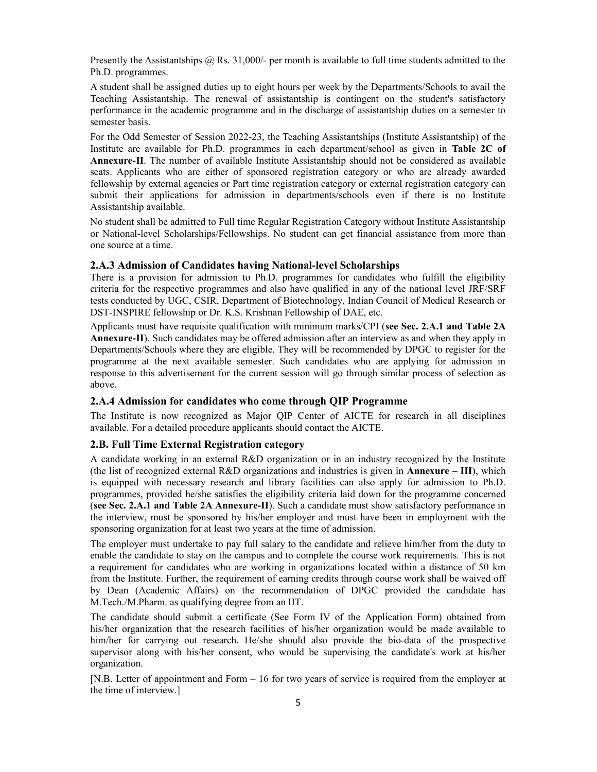Presently the Assistantships @ Rs. 31,000/- per month is available to full time students admitted to the Ph.D. programmes.

A student shall be assigned duties up to eight hours per week by the Departments/Schools to avail the Teaching Assistantship. The renewal of assistantship is contingent on the student's satisfactory performance in the academic programme and in the discharge of assistantship duties on a semester to semester basis.

For the Odd Semester of Session 2022-23, the Teaching Assistantships (Institute Assistantship) of the Institute are available for Ph.D. programmes in each department/school as given in Table 2C of Annexure-II. The number of available Institute Assistantship should not be considered as available seats. Applicants who are either of sponsored registration category or who are already awarded fellowship by external agencies or Part time registration category or external registration category can submit their applications for admission in departments/schools even if there is no Institute Assistantship available.

No student shall be admitted to Full time Regular Registration Category without Institute Assistantship or National-level Scholarships/Fellowships. No student can get financial assistance from more than one source at a time.

### 2.A.3 Admission of Candidates having National-level Scholarships

There is a provision for admission to Ph.D. programmes for candidates who fulfill the eligibility criteria for the respective programmes and also have qualified in any of the national level JRF/SRF tests conducted by UGC, CSIR, Department of Biotechnology, Indian Council of Medical Research or DST-INSPIRE fellowship or Dr. K.S. Krishnan Fellowship of DAE, etc.

Applicants must have requisite qualification with minimum marks/CPI (see Sec. 2.A.1 and Table 2A Annexure-II). Such candidates may be offered admission after an interview as and when they apply in Departments/Schools where they are eligible. They will be recommended by DPGC to register for the programme at the next available semester. Such candidates who are applying for admission in response to this advertisement for the current session will go through similar process of selection as above.

### 2.A.4 Admission for candidates who come through QIP Programme

The Institute is now recognized as Major QIP Center of AICTE for research in all disciplines available. For a detailed procedure applicants should contact the AICTE.

### 2.B. Full Time External Registration category

A candidate working in an external R&D organization or in an industry recognized by the Institute (the list of recognized external R&D organizations and industries is given in **Annexure** – III), which is equipped with necessary research and library facilities can also apply for admission to Ph.D. programmes, provided he/she satisfies the eligibility criteria laid down for the programme concerned (see Sec. 2.A.1 and Table 2A Annexure-II). Such a candidate must show satisfactory performance in the interview, must be sponsored by his/her employer and must have been in employment with the sponsoring organization for at least two years at the time of admission.

The employer must undertake to pay full salary to the candidate and relieve him/her from the duty to enable the candidate to stay on the campus and to complete the course work requirements. This is not a requirement for candidates who are working in organizations located within a distance of 50 km from the Institute. Further, the requirement of earning credits through course work shall be waived off by Dean (Academic Affairs) on the recommendation of DPGC provided the candidate has M.Tech./M.Pharm. as qualifying degree from an IIT.

The candidate should submit a certificate (See Form IV of the Application Form) obtained from his/her organization that the research facilities of his/her organization would be made available to him/her for carrying out research. He/she should also provide the bio-data of the prospective supervisor along with his/her consent, who would be supervising the candidate's work at his/her organization.

[N.B. Letter of appointment and Form – 16 for two years of service is required from the employer at the time of interview.]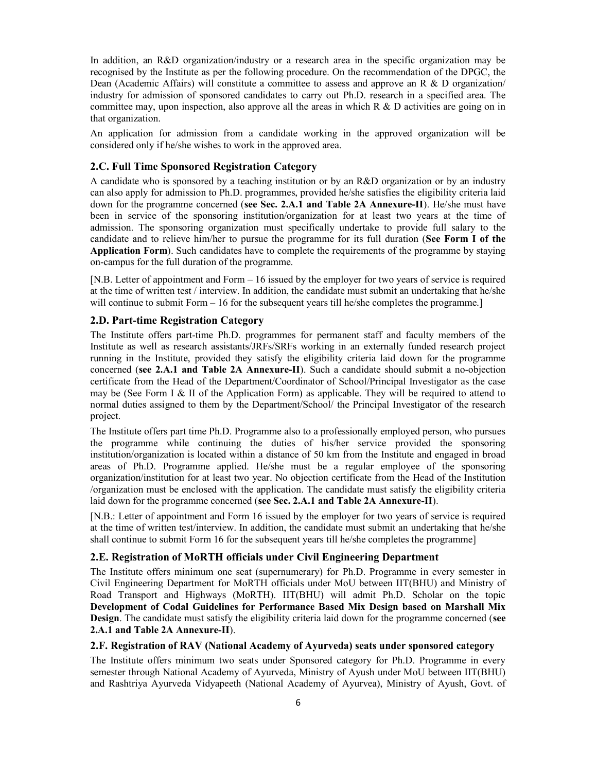In addition, an R&D organization/industry or a research area in the specific organization may be recognised by the Institute as per the following procedure. On the recommendation of the DPGC, the Dean (Academic Affairs) will constitute a committee to assess and approve an R & D organization industry for admission of sponsored candidates to carry out Ph.D. research in a specified area. The committee may, upon inspection, also approve all the areas in which  $R \& D$  activities are going on in that organization.

An application for admission from a candidate working in the approved organization will be considered only if he/she wishes to work in the approved area.

# 2.C. Full Time Sponsored Registration Category

A candidate who is sponsored by a teaching institution or by an R&D organization or by an industry can also apply for admission to Ph.D. programmes, provided he/she satisfies the eligibility criteria laid down for the programme concerned (see Sec. 2.A.1 and Table 2A Annexure-II). He/she must have been in service of the sponsoring institution/organization for at least two years at the time of admission. The sponsoring organization must specifically undertake to provide full salary to the candidate and to relieve him/her to pursue the programme for its full duration (See Form I of the Application Form). Such candidates have to complete the requirements of the programme by staying on-campus for the full duration of the programme.

[N.B. Letter of appointment and Form – 16 issued by the employer for two years of service is required at the time of written test / interview. In addition, the candidate must submit an undertaking that he/she will continue to submit Form – 16 for the subsequent years till he/she completes the programme.]

### 2.D. Part-time Registration Category

The Institute offers part-time Ph.D. programmes for permanent staff and faculty members of the Institute as well as research assistants/JRFs/SRFs working in an externally funded research project running in the Institute, provided they satisfy the eligibility criteria laid down for the programme concerned (see 2.A.1 and Table 2A Annexure-II). Such a candidate should submit a no-objection certificate from the Head of the Department/Coordinator of School/Principal Investigator as the case may be (See Form I & II of the Application Form) as applicable. They will be required to attend to normal duties assigned to them by the Department/School/ the Principal Investigator of the research project.

The Institute offers part time Ph.D. Programme also to a professionally employed person, who pursues the programme while continuing the duties of his/her service provided the sponsoring institution/organization is located within a distance of 50 km from the Institute and engaged in broad areas of Ph.D. Programme applied. He/she must be a regular employee of the sponsoring organization/institution for at least two year. No objection certificate from the Head of the Institution /organization must be enclosed with the application. The candidate must satisfy the eligibility criteria laid down for the programme concerned (see Sec. 2.A.1 and Table 2A Annexure-II).

[N.B.: Letter of appointment and Form 16 issued by the employer for two years of service is required at the time of written test/interview. In addition, the candidate must submit an undertaking that he/she shall continue to submit Form 16 for the subsequent years till he/she completes the programme]

## 2.E. Registration of MoRTH officials under Civil Engineering Department

The Institute offers minimum one seat (supernumerary) for Ph.D. Programme in every semester in Civil Engineering Department for MoRTH officials under MoU between IIT(BHU) and Ministry of Road Transport and Highways (MoRTH). IIT(BHU) will admit Ph.D. Scholar on the topic Development of Codal Guidelines for Performance Based Mix Design based on Marshall Mix Design. The candidate must satisfy the eligibility criteria laid down for the programme concerned (see 2.A.1 and Table 2A Annexure-II).

### 2.F. Registration of RAV (National Academy of Ayurveda) seats under sponsored category

The Institute offers minimum two seats under Sponsored category for Ph.D. Programme in every semester through National Academy of Ayurveda, Ministry of Ayush under MoU between IIT(BHU) and Rashtriya Ayurveda Vidyapeeth (National Academy of Ayurvea), Ministry of Ayush, Govt. of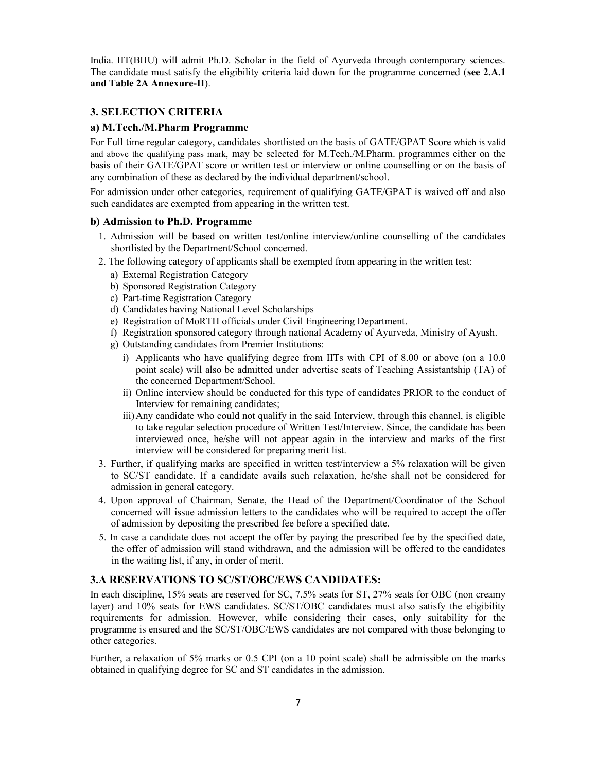India. IIT(BHU) will admit Ph.D. Scholar in the field of Ayurveda through contemporary sciences. The candidate must satisfy the eligibility criteria laid down for the programme concerned (see 2.A.1) and Table 2A Annexure-II).

# 3. SELECTION CRITERIA

### a) M.Tech./M.Pharm Programme

For Full time regular category, candidates shortlisted on the basis of GATE/GPAT Score which is valid and above the qualifying pass mark, may be selected for M.Tech./M.Pharm. programmes either on the basis of their GATE/GPAT score or written test or interview or online counselling or on the basis of any combination of these as declared by the individual department/school.

For admission under other categories, requirement of qualifying GATE/GPAT is waived off and also such candidates are exempted from appearing in the written test.

### b) Admission to Ph.D. Programme

- 1. Admission will be based on written test/online interview/online counselling of the candidates shortlisted by the Department/School concerned.
- 2. The following category of applicants shall be exempted from appearing in the written test:
	- a) External Registration Category
	- b) Sponsored Registration Category
	- c) Part-time Registration Category
	- d) Candidates having National Level Scholarships
	- e) Registration of MoRTH officials under Civil Engineering Department.
	- f) Registration sponsored category through national Academy of Ayurveda, Ministry of Ayush.
	- g) Outstanding candidates from Premier Institutions:
		- i) Applicants who have qualifying degree from IITs with CPI of 8.00 or above (on a 10.0 point scale) will also be admitted under advertise seats of Teaching Assistantship (TA) of the concerned Department/School.
		- ii) Online interview should be conducted for this type of candidates PRIOR to the conduct of Interview for remaining candidates;
		- iii) Any candidate who could not qualify in the said Interview, through this channel, is eligible to take regular selection procedure of Written Test/Interview. Since, the candidate has been interviewed once, he/she will not appear again in the interview and marks of the first interview will be considered for preparing merit list.
- 3. Further, if qualifying marks are specified in written test/interview a 5% relaxation will be given to SC/ST candidate. If a candidate avails such relaxation, he/she shall not be considered for admission in general category.
- 4. Upon approval of Chairman, Senate, the Head of the Department/Coordinator of the School concerned will issue admission letters to the candidates who will be required to accept the offer of admission by depositing the prescribed fee before a specified date.
- 5. In case a candidate does not accept the offer by paying the prescribed fee by the specified date, the offer of admission will stand withdrawn, and the admission will be offered to the candidates in the waiting list, if any, in order of merit.

# 3.A RESERVATIONS TO SC/ST/OBC/EWS CANDIDATES:

In each discipline, 15% seats are reserved for SC, 7.5% seats for ST, 27% seats for OBC (non creamy layer) and 10% seats for EWS candidates. SC/ST/OBC candidates must also satisfy the eligibility requirements for admission. However, while considering their cases, only suitability for the programme is ensured and the SC/ST/OBC/EWS candidates are not compared with those belonging to other categories.

Further, a relaxation of 5% marks or 0.5 CPI (on a 10 point scale) shall be admissible on the marks obtained in qualifying degree for SC and ST candidates in the admission.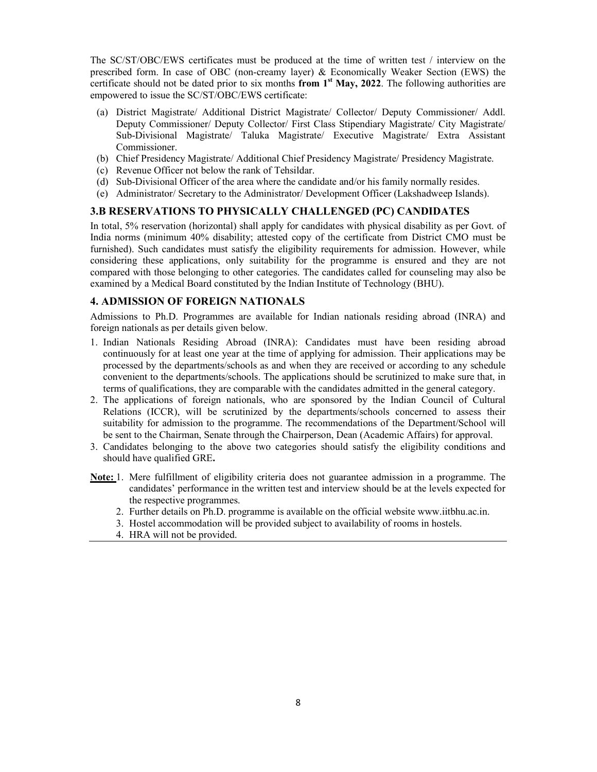The SC/ST/OBC/EWS certificates must be produced at the time of written test / interview on the prescribed form. In case of OBC (non-creamy layer) & Economically Weaker Section (EWS) the certificate should not be dated prior to six months from  $1<sup>st</sup>$  May, 2022. The following authorities are empowered to issue the SC/ST/OBC/EWS certificate:

- (a) District Magistrate/ Additional District Magistrate/ Collector/ Deputy Commissioner/ Addl. Deputy Commissioner/ Deputy Collector/ First Class Stipendiary Magistrate/ City Magistrate/ Sub-Divisional Magistrate/ Taluka Magistrate/ Executive Magistrate/ Extra Assistant Commissioner.
- (b) Chief Presidency Magistrate/ Additional Chief Presidency Magistrate/ Presidency Magistrate.
- (c) Revenue Officer not below the rank of Tehsildar.
- (d) Sub-Divisional Officer of the area where the candidate and/or his family normally resides.
- (e) Administrator/ Secretary to the Administrator/ Development Officer (Lakshadweep Islands).

### 3.B RESERVATIONS TO PHYSICALLY CHALLENGED (PC) CANDIDATES

In total, 5% reservation (horizontal) shall apply for candidates with physical disability as per Govt. of India norms (minimum 40% disability; attested copy of the certificate from District CMO must be furnished). Such candidates must satisfy the eligibility requirements for admission. However, while considering these applications, only suitability for the programme is ensured and they are not compared with those belonging to other categories. The candidates called for counseling may also be examined by a Medical Board constituted by the Indian Institute of Technology (BHU).

## 4. ADMISSION OF FOREIGN NATIONALS

Admissions to Ph.D. Programmes are available for Indian nationals residing abroad (INRA) and foreign nationals as per details given below.

- 1. Indian Nationals Residing Abroad (INRA): Candidates must have been residing abroad continuously for at least one year at the time of applying for admission. Their applications may be processed by the departments/schools as and when they are received or according to any schedule convenient to the departments/schools. The applications should be scrutinized to make sure that, in terms of qualifications, they are comparable with the candidates admitted in the general category.
- 2. The applications of foreign nationals, who are sponsored by the Indian Council of Cultural Relations (ICCR), will be scrutinized by the departments/schools concerned to assess their suitability for admission to the programme. The recommendations of the Department/School will be sent to the Chairman, Senate through the Chairperson, Dean (Academic Affairs) for approval.
- 3. Candidates belonging to the above two categories should satisfy the eligibility conditions and should have qualified GRE.
- Note: 1. Mere fulfillment of eligibility criteria does not guarantee admission in a programme. The candidates' performance in the written test and interview should be at the levels expected for the respective programmes.
	- 2. Further details on Ph.D. programme is available on the official website www.iitbhu.ac.in.
	- 3. Hostel accommodation will be provided subject to availability of rooms in hostels.
	- 4. HRA will not be provided.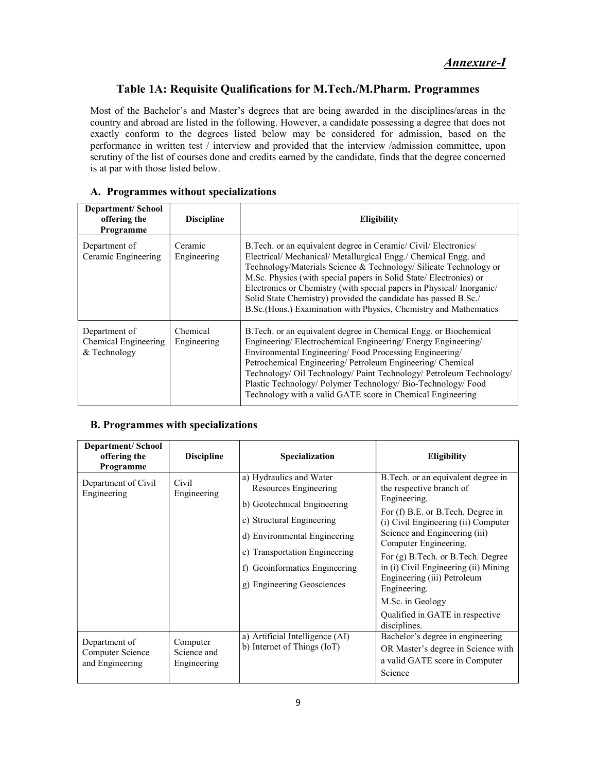# Table 1A: Requisite Qualifications for M.Tech./M.Pharm. Programmes

Most of the Bachelor's and Master's degrees that are being awarded in the disciplines/areas in the country and abroad are listed in the following. However, a candidate possessing a degree that does not exactly conform to the degrees listed below may be considered for admission, based on the performance in written test / interview and provided that the interview /admission committee, upon scrutiny of the list of courses done and credits earned by the candidate, finds that the degree concerned is at par with those listed below.

# A. Programmes without specializations

| <b>Department/School</b><br>offering the<br>Programme | <b>Discipline</b>       | <b>Eligibility</b>                                                                                                                                                                                                                                                                                                                                                                                                                                                                         |
|-------------------------------------------------------|-------------------------|--------------------------------------------------------------------------------------------------------------------------------------------------------------------------------------------------------------------------------------------------------------------------------------------------------------------------------------------------------------------------------------------------------------------------------------------------------------------------------------------|
| Department of<br>Ceramic Engineering                  | Ceramic<br>Engineering  | B.Tech. or an equivalent degree in Ceramic/Civil/Electronics/<br>Electrical/ Mechanical/ Metallurgical Engg./ Chemical Engg. and<br>Technology/Materials Science & Technology/ Silicate Technology or<br>M.Sc. Physics (with special papers in Solid State/ Electronics) or<br>Electronics or Chemistry (with special papers in Physical/Inorganic/<br>Solid State Chemistry) provided the candidate has passed B.Sc./<br>B.Sc.(Hons.) Examination with Physics, Chemistry and Mathematics |
| Department of<br>Chemical Engineering<br>& Technology | Chemical<br>Engineering | B. Tech. or an equivalent degree in Chemical Engg. or Biochemical<br>Engineering/Electrochemical Engineering/Energy Engineering/<br>Environmental Engineering/Food Processing Engineering/<br>Petrochemical Engineering/ Petroleum Engineering/ Chemical<br>Technology/ Oil Technology/ Paint Technology/ Petroleum Technology/<br>Plastic Technology/ Polymer Technology/ Bio-Technology/ Food<br>Technology with a valid GATE score in Chemical Engineering                              |

# B. Programmes with specializations

| <b>Department/School</b><br>offering the<br>Programme | <b>Discipline</b>                      | Specialization                                                                                                                                                                                                                               | <b>Eligibility</b>                                                                                                                                                                                                                                                                                                                                                                                                        |
|-------------------------------------------------------|----------------------------------------|----------------------------------------------------------------------------------------------------------------------------------------------------------------------------------------------------------------------------------------------|---------------------------------------------------------------------------------------------------------------------------------------------------------------------------------------------------------------------------------------------------------------------------------------------------------------------------------------------------------------------------------------------------------------------------|
| Department of Civil<br>Engineering                    | Civil<br>Engineering                   | a) Hydraulics and Water<br>Resources Engineering<br>b) Geotechnical Engineering<br>c) Structural Engineering<br>d) Environmental Engineering<br>e) Transportation Engineering<br>f) Geoinformatics Engineering<br>g) Engineering Geosciences | B.Tech. or an equivalent degree in<br>the respective branch of<br>Engineering.<br>For (f) B.E. or B.Tech. Degree in<br>(i) Civil Engineering (ii) Computer<br>Science and Engineering (iii)<br>Computer Engineering.<br>For (g) B. Tech. or B. Tech. Degree<br>in (i) Civil Engineering (ii) Mining<br>Engineering (iii) Petroleum<br>Engineering.<br>M.Sc. in Geology<br>Qualified in GATE in respective<br>disciplines. |
| Department of<br>Computer Science<br>and Engineering  | Computer<br>Science and<br>Engineering | a) Artificial Intelligence (AI)<br>b) Internet of Things (IoT)                                                                                                                                                                               | Bachelor's degree in engineering<br>OR Master's degree in Science with<br>a valid GATE score in Computer<br>Science                                                                                                                                                                                                                                                                                                       |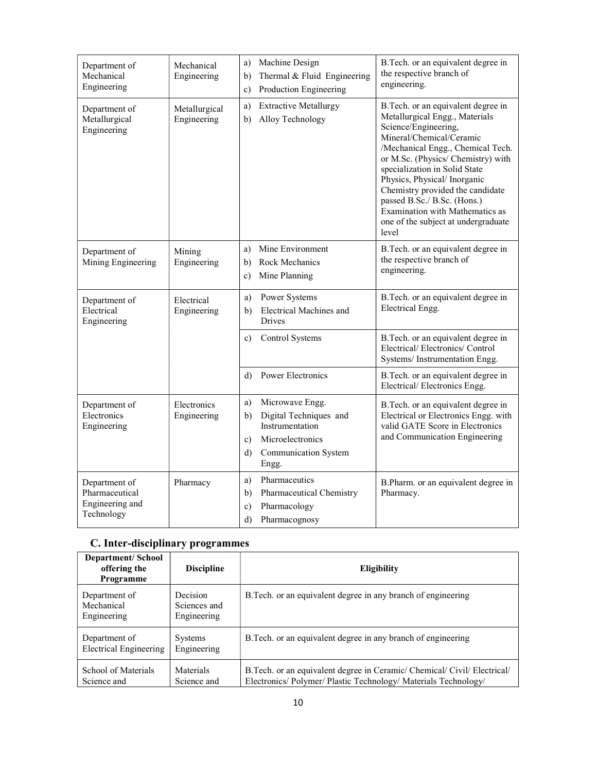| Department of<br>Mechanical<br>Engineering                                    | Mechanical<br>Engineering  | Machine Design<br>a)<br>Thermal & Fluid Engineering<br>b)<br>Production Engineering<br>c)                                                 | B.Tech. or an equivalent degree in<br>the respective branch of<br>engineering.                                                                                                                                                                                                                                                                                                                                            |
|-------------------------------------------------------------------------------|----------------------------|-------------------------------------------------------------------------------------------------------------------------------------------|---------------------------------------------------------------------------------------------------------------------------------------------------------------------------------------------------------------------------------------------------------------------------------------------------------------------------------------------------------------------------------------------------------------------------|
| Department of<br>Metallurgical<br>Metallurgical<br>Engineering<br>Engineering |                            | <b>Extractive Metallurgy</b><br>a)<br>Alloy Technology<br>b)                                                                              | B.Tech. or an equivalent degree in<br>Metallurgical Engg., Materials<br>Science/Engineering,<br>Mineral/Chemical/Ceramic<br>/Mechanical Engg., Chemical Tech.<br>or M.Sc. (Physics/ Chemistry) with<br>specialization in Solid State<br>Physics, Physical/Inorganic<br>Chemistry provided the candidate<br>passed B.Sc./ B.Sc. (Hons.)<br>Examination with Mathematics as<br>one of the subject at undergraduate<br>level |
| Department of<br>Mining Engineering                                           | Mining<br>Engineering      | Mine Environment<br>a)<br>Rock Mechanics<br>b)<br>Mine Planning<br>c)                                                                     | B.Tech. or an equivalent degree in<br>the respective branch of<br>engineering.                                                                                                                                                                                                                                                                                                                                            |
| Department of<br>Electrical<br>Engineering                                    | Electrical<br>Engineering  | Power Systems<br>a)<br><b>Electrical Machines and</b><br>b)<br>Drives                                                                     | B.Tech. or an equivalent degree in<br>Electrical Engg.                                                                                                                                                                                                                                                                                                                                                                    |
|                                                                               |                            | Control Systems<br>c)                                                                                                                     | B.Tech. or an equivalent degree in<br>Electrical/Electronics/Control<br>Systems/Instrumentation Engg.                                                                                                                                                                                                                                                                                                                     |
|                                                                               |                            | Power Electronics<br>d)                                                                                                                   | B.Tech. or an equivalent degree in<br>Electrical/Electronics Engg.                                                                                                                                                                                                                                                                                                                                                        |
| Department of<br>Electronics<br>Engineering                                   | Electronics<br>Engineering | Microwave Engg.<br>a)<br>Digital Techniques and<br>b)<br>Instrumentation<br>Microelectronics<br>c)<br>Communication System<br>d)<br>Engg. | B.Tech. or an equivalent degree in<br>Electrical or Electronics Engg. with<br>valid GATE Score in Electronics<br>and Communication Engineering                                                                                                                                                                                                                                                                            |
| Department of<br>Pharmaceutical<br>Engineering and<br>Technology              | Pharmacy                   | Pharmaceutics<br>a)<br>Pharmaceutical Chemistry<br>b)<br>Pharmacology<br>c)<br>d)<br>Pharmacognosy                                        | B.Pharm. or an equivalent degree in<br>Pharmacy.                                                                                                                                                                                                                                                                                                                                                                          |

# C. Inter-disciplinary programmes

| <b>Department/School</b><br>offering the<br>Programme | <b>Discipline</b>                       | <b>Eligibility</b>                                                                                                                    |
|-------------------------------------------------------|-----------------------------------------|---------------------------------------------------------------------------------------------------------------------------------------|
| Department of<br>Mechanical<br>Engineering            | Decision<br>Sciences and<br>Engineering | B. Tech. or an equivalent degree in any branch of engineering                                                                         |
| Department of<br><b>Electrical Engineering</b>        | Systems<br>Engineering                  | B. Tech. or an equivalent degree in any branch of engineering                                                                         |
| School of Materials<br>Science and                    | Materials<br>Science and                | B.Tech. or an equivalent degree in Ceramic/Chemical/Civil/Electrical/<br>Electronics/Polymer/Plastic Technology/Materials Technology/ |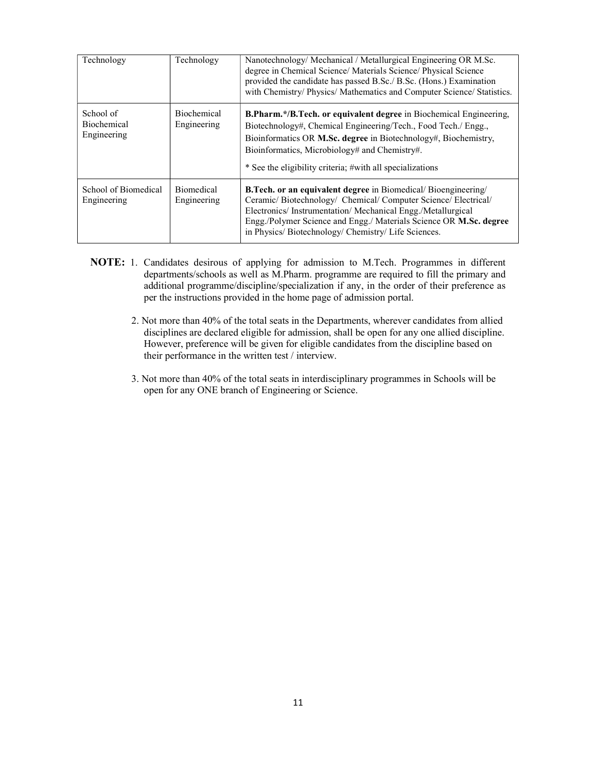| Technology                              | Technology                        | Nanotechnology/Mechanical/Metallurgical Engineering OR M.Sc.<br>degree in Chemical Science/ Materials Science/ Physical Science<br>provided the candidate has passed B.Sc./ B.Sc. (Hons.) Examination<br>with Chemistry/ Physics/ Mathematics and Computer Science/ Statistics.                                               |
|-----------------------------------------|-----------------------------------|-------------------------------------------------------------------------------------------------------------------------------------------------------------------------------------------------------------------------------------------------------------------------------------------------------------------------------|
| School of<br>Biochemical<br>Engineering | <b>Biochemical</b><br>Engineering | B.Pharm.*/B.Tech. or equivalent degree in Biochemical Engineering,<br>Biotechnology#, Chemical Engineering/Tech., Food Tech./ Engg.,<br>Bioinformatics OR M.Sc. degree in Biotechnology#, Biochemistry,<br>Bioinformatics, Microbiology# and Chemistry#.<br>* See the eligibility criteria; #with all specializations         |
| School of Biomedical<br>Engineering     | <b>Biomedical</b><br>Engineering  | <b>B.Tech. or an equivalent degree</b> in Biomedical/Bioengineering/<br>Ceramic/Biotechnology/ Chemical/Computer Science/Electrical/<br>Electronics/Instrumentation/Mechanical Engg./Metallurgical<br>Engg./Polymer Science and Engg./ Materials Science OR M.Sc. degree<br>in Physics/Biotechnology/Chemistry/Life Sciences. |

- NOTE: 1. Candidates desirous of applying for admission to M.Tech. Programmes in different departments/schools as well as M.Pharm. programme are required to fill the primary and additional programme/discipline/specialization if any, in the order of their preference as per the instructions provided in the home page of admission portal.
	- 2. Not more than 40% of the total seats in the Departments, wherever candidates from allied disciplines are declared eligible for admission, shall be open for any one allied discipline. However, preference will be given for eligible candidates from the discipline based on their performance in the written test / interview.
	- 3. Not more than 40% of the total seats in interdisciplinary programmes in Schools will be open for any ONE branch of Engineering or Science.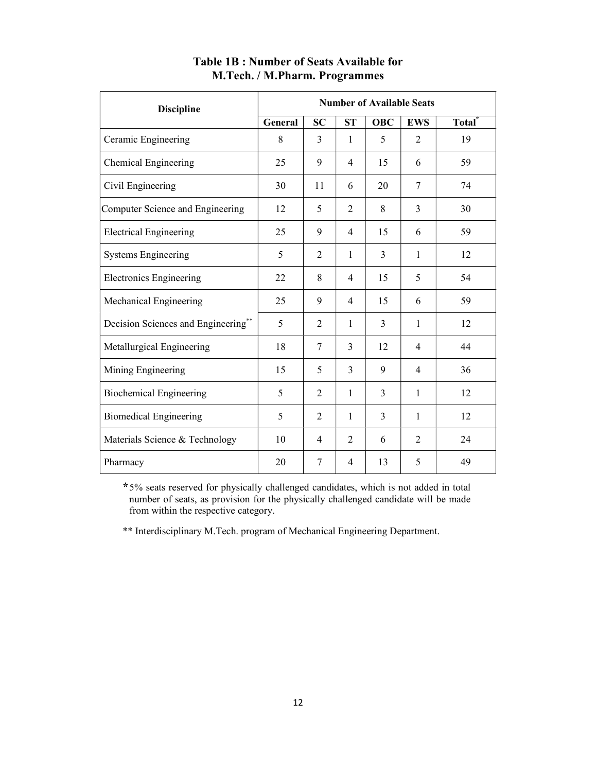| <b>Discipline</b>                   | <b>Number of Available Seats</b> |                |                |            |                |                    |
|-------------------------------------|----------------------------------|----------------|----------------|------------|----------------|--------------------|
|                                     | General                          | <b>SC</b>      | <b>ST</b>      | <b>OBC</b> | <b>EWS</b>     | Total <sup>*</sup> |
| Ceramic Engineering                 | 8                                | 3              | 1              | 5          | 2              | 19                 |
| Chemical Engineering                | 25                               | 9              | 4              | 15         | 6              | 59                 |
| Civil Engineering                   | 30                               | 11             | 6              | 20         | 7              | 74                 |
| Computer Science and Engineering    | 12                               | 5              | 2              | 8          | 3              | 30                 |
| <b>Electrical Engineering</b>       | 25                               | 9              | $\overline{4}$ | 15         | 6              | 59                 |
| <b>Systems Engineering</b>          | 5                                | $\overline{2}$ | 1              | 3          | 1              | 12                 |
| <b>Electronics Engineering</b>      | 22                               | 8              | 4              | 15         | 5              | 54                 |
| Mechanical Engineering              | 25                               | 9              | 4              | 15         | 6              | 59                 |
| Decision Sciences and Engineering** | 5                                | 2              | $\mathbf{1}$   | 3          | 1              | 12                 |
| Metallurgical Engineering           | 18                               | 7              | 3              | 12         | $\overline{4}$ | 44                 |
| Mining Engineering                  | 15                               | 5              | 3              | 9          | $\overline{4}$ | 36                 |
| <b>Biochemical Engineering</b>      | 5                                | $\overline{2}$ | 1              | 3          | 1              | 12                 |
| <b>Biomedical Engineering</b>       | 5                                | 2              | 1              | 3          | 1              | 12                 |
| Materials Science & Technology      | 10                               | $\overline{4}$ | 2              | 6          | 2              | 24                 |
| Pharmacy                            | 20                               | 7              | 4              | 13         | 5              | 49                 |

# Table 1B : Number of Seats Available for M.Tech. / M.Pharm. Programmes

\*5% seats reserved for physically challenged candidates, which is not added in total number of seats, as provision for the physically challenged candidate will be made from within the respective category.

\*\* Interdisciplinary M.Tech. program of Mechanical Engineering Department.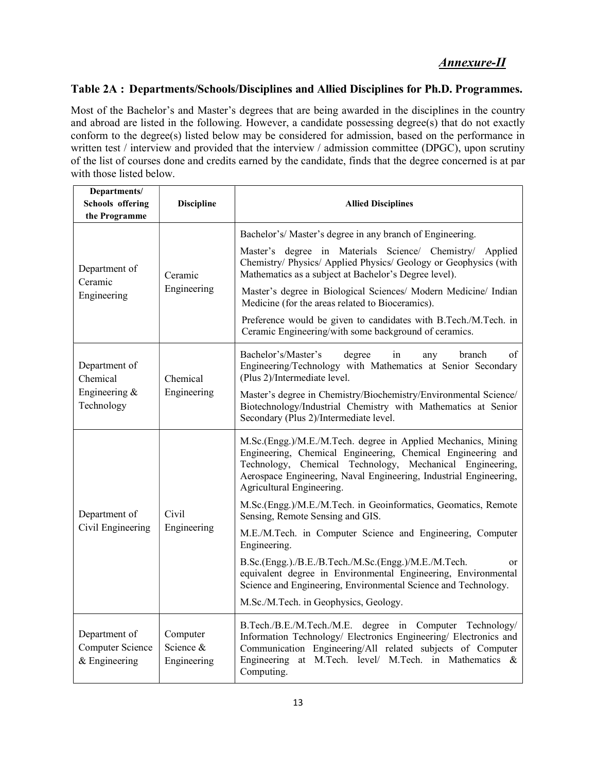# Annexure-II

# Table 2A : Departments/Schools/Disciplines and Allied Disciplines for Ph.D. Programmes.

Most of the Bachelor's and Master's degrees that are being awarded in the disciplines in the country and abroad are listed in the following. However, a candidate possessing degree(s) that do not exactly conform to the degree(s) listed below may be considered for admission, based on the performance in written test / interview and provided that the interview / admission committee (DPGC), upon scrutiny of the list of courses done and credits earned by the candidate, finds that the degree concerned is at par with those listed below.

| Departments/<br><b>Schools</b> offering<br>the Programme | <b>Discipline</b>                    | <b>Allied Disciplines</b>                                                                                                                                                                                                                                                                     |  |
|----------------------------------------------------------|--------------------------------------|-----------------------------------------------------------------------------------------------------------------------------------------------------------------------------------------------------------------------------------------------------------------------------------------------|--|
|                                                          |                                      | Bachelor's/Master's degree in any branch of Engineering.                                                                                                                                                                                                                                      |  |
| Department of<br>Ceramic                                 | Ceramic                              | Master's degree in Materials Science/ Chemistry/ Applied<br>Chemistry/ Physics/ Applied Physics/ Geology or Geophysics (with<br>Mathematics as a subject at Bachelor's Degree level).                                                                                                         |  |
| Engineering                                              | Engineering                          | Master's degree in Biological Sciences/ Modern Medicine/ Indian<br>Medicine (for the areas related to Bioceramics).                                                                                                                                                                           |  |
|                                                          |                                      | Preference would be given to candidates with B.Tech./M.Tech. in<br>Ceramic Engineering/with some background of ceramics.                                                                                                                                                                      |  |
| Department of<br>Chemical                                | Chemical                             | Bachelor's/Master's<br>degree<br>branch<br>οf<br>in<br>any<br>Engineering/Technology with Mathematics at Senior Secondary<br>(Plus 2)/Intermediate level.                                                                                                                                     |  |
| Engineering &<br>Technology                              | Engineering                          | Master's degree in Chemistry/Biochemistry/Environmental Science/<br>Biotechnology/Industrial Chemistry with Mathematics at Senior<br>Secondary (Plus 2)/Intermediate level.                                                                                                                   |  |
|                                                          | Civil<br>Engineering                 | M.Sc.(Engg.)/M.E./M.Tech. degree in Applied Mechanics, Mining<br>Engineering, Chemical Engineering, Chemical Engineering and<br>Technology, Chemical Technology,<br>Mechanical Engineering,<br>Aerospace Engineering, Naval Engineering, Industrial Engineering,<br>Agricultural Engineering. |  |
| Department of                                            |                                      | M.Sc.(Engg.)/M.E./M.Tech. in Geoinformatics, Geomatics, Remote<br>Sensing, Remote Sensing and GIS.                                                                                                                                                                                            |  |
| Civil Engineering                                        |                                      | M.E./M.Tech. in Computer Science and Engineering, Computer<br>Engineering.                                                                                                                                                                                                                    |  |
|                                                          |                                      | B.Sc.(Engg.)./B.E./B.Tech./M.Sc.(Engg.)/M.E./M.Tech.<br>or<br>equivalent degree in Environmental Engineering, Environmental<br>Science and Engineering, Environmental Science and Technology.                                                                                                 |  |
|                                                          |                                      | M.Sc./M.Tech. in Geophysics, Geology.                                                                                                                                                                                                                                                         |  |
| Department of<br>Computer Science<br>$&$ Engineering     | Computer<br>Science &<br>Engineering | B.Tech./B.E./M.Tech./M.E. degree in Computer Technology/<br>Information Technology/ Electronics Engineering/ Electronics and<br>Communication Engineering/All related subjects of Computer<br>Engineering at M.Tech. level/ M.Tech. in Mathematics &<br>Computing.                            |  |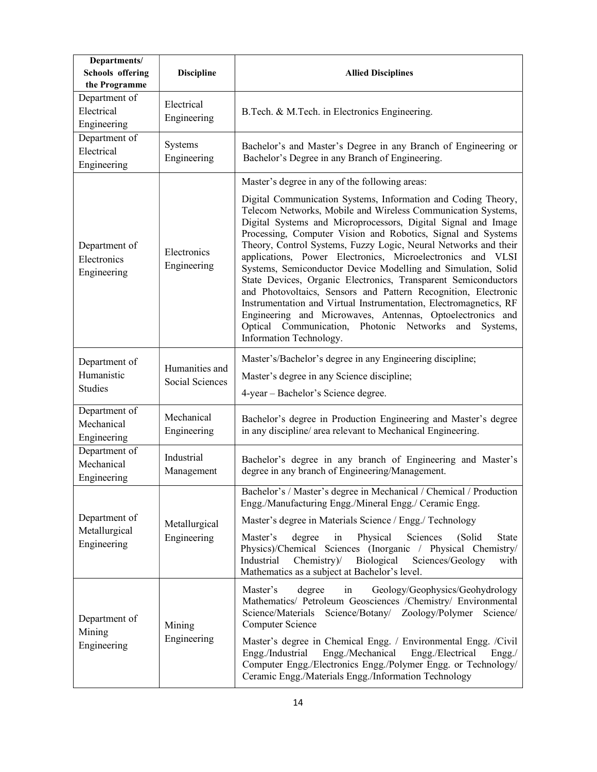| Departments/<br><b>Schools</b> offering<br>the Programme | <b>Discipline</b>                 | <b>Allied Disciplines</b>                                                                                                                                                                                                                                                                                                                                                                                                                                                                                                                                                                                                                                                                                                                                                                                                                                                    |  |  |
|----------------------------------------------------------|-----------------------------------|------------------------------------------------------------------------------------------------------------------------------------------------------------------------------------------------------------------------------------------------------------------------------------------------------------------------------------------------------------------------------------------------------------------------------------------------------------------------------------------------------------------------------------------------------------------------------------------------------------------------------------------------------------------------------------------------------------------------------------------------------------------------------------------------------------------------------------------------------------------------------|--|--|
| Department of<br>Electrical<br>Engineering               | Electrical<br>Engineering         | B.Tech. & M.Tech. in Electronics Engineering.                                                                                                                                                                                                                                                                                                                                                                                                                                                                                                                                                                                                                                                                                                                                                                                                                                |  |  |
| Department of<br>Electrical<br>Engineering               | Systems<br>Engineering            | Bachelor's and Master's Degree in any Branch of Engineering or<br>Bachelor's Degree in any Branch of Engineering.                                                                                                                                                                                                                                                                                                                                                                                                                                                                                                                                                                                                                                                                                                                                                            |  |  |
| Department of<br>Electronics<br>Engineering              | Electronics<br>Engineering        | Master's degree in any of the following areas:<br>Digital Communication Systems, Information and Coding Theory,<br>Telecom Networks, Mobile and Wireless Communication Systems,<br>Digital Systems and Microprocessors, Digital Signal and Image<br>Processing, Computer Vision and Robotics, Signal and Systems<br>Theory, Control Systems, Fuzzy Logic, Neural Networks and their<br>applications, Power Electronics, Microelectronics and VLSI<br>Systems, Semiconductor Device Modelling and Simulation, Solid<br>State Devices, Organic Electronics, Transparent Semiconductors<br>and Photovoltaics, Sensors and Pattern Recognition, Electronic<br>Instrumentation and Virtual Instrumentation, Electromagnetics, RF<br>Engineering and Microwaves, Antennas, Optoelectronics and<br>Optical Communication, Photonic Networks and Systems,<br>Information Technology. |  |  |
| Department of<br>Humanistic<br><b>Studies</b>            | Humanities and<br>Social Sciences | Master's/Bachelor's degree in any Engineering discipline;<br>Master's degree in any Science discipline;<br>4-year – Bachelor's Science degree.                                                                                                                                                                                                                                                                                                                                                                                                                                                                                                                                                                                                                                                                                                                               |  |  |
| Department of<br>Mechanical<br>Engineering               | Mechanical<br>Engineering         | Bachelor's degree in Production Engineering and Master's degree<br>in any discipline/ area relevant to Mechanical Engineering.                                                                                                                                                                                                                                                                                                                                                                                                                                                                                                                                                                                                                                                                                                                                               |  |  |
| Department of<br>Mechanical<br>Engineering               | Industrial<br>Management          | Bachelor's degree in any branch of Engineering and Master's<br>degree in any branch of Engineering/Management.                                                                                                                                                                                                                                                                                                                                                                                                                                                                                                                                                                                                                                                                                                                                                               |  |  |
| Department of<br>Metallurgical<br>Engineering            | Metallurgical<br>Engineering      | Bachelor's / Master's degree in Mechanical / Chemical / Production<br>Engg./Manufacturing Engg./Mineral Engg./ Ceramic Engg.<br>Master's degree in Materials Science / Engg./ Technology<br>Physical<br>Sciences<br>Master's<br>degree<br>in<br>(Solid<br><b>State</b><br>Physics)/Chemical Sciences (Inorganic / Physical Chemistry/<br>Industrial<br>Biological<br>Chemistry)<br>Sciences/Geology<br>with<br>Mathematics as a subject at Bachelor's level.                                                                                                                                                                                                                                                                                                                                                                                                                 |  |  |
| Department of<br>Mining<br>Engineering                   | Mining<br>Engineering             | Master's<br>degree<br>Geology/Geophysics/Geohydrology<br>in<br>Mathematics/ Petroleum Geosciences /Chemistry/ Environmental<br>Science/Materials Science/Botany/ Zoology/Polymer Science/<br>Computer Science<br>Master's degree in Chemical Engg. / Environmental Engg. /Civil<br>Engg./Mechanical<br>Engg./Industrial<br>Engg./Electrical<br>$Engg$ ./<br>Computer Engg./Electronics Engg./Polymer Engg. or Technology/<br>Ceramic Engg./Materials Engg./Information Technology                                                                                                                                                                                                                                                                                                                                                                                            |  |  |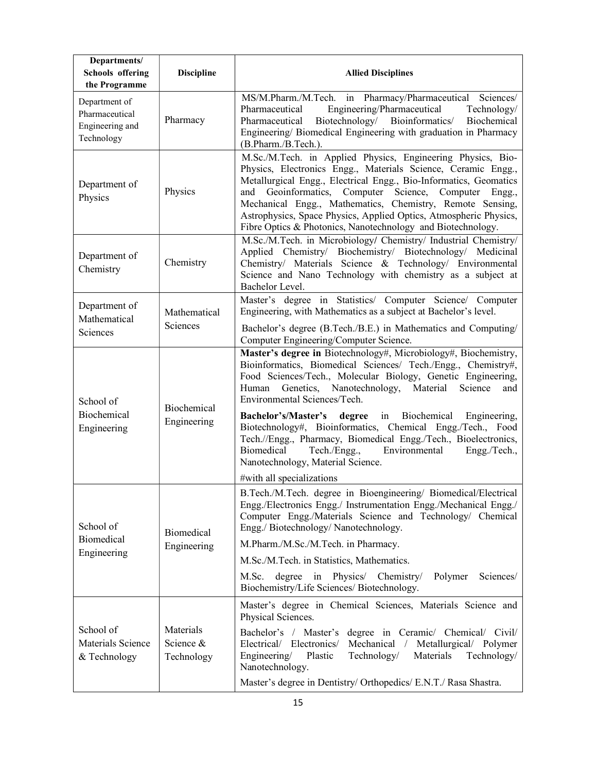| Departments/<br><b>Schools</b> offering<br>the Programme         | <b>Discipline</b>                    | <b>Allied Disciplines</b>                                                                                                                                                                                                                                                                                                                                                                                                                                                                                                                                                                                                               |  |  |  |
|------------------------------------------------------------------|--------------------------------------|-----------------------------------------------------------------------------------------------------------------------------------------------------------------------------------------------------------------------------------------------------------------------------------------------------------------------------------------------------------------------------------------------------------------------------------------------------------------------------------------------------------------------------------------------------------------------------------------------------------------------------------------|--|--|--|
| Department of<br>Pharmaceutical<br>Engineering and<br>Technology | Pharmacy                             | MS/M.Pharm./M.Tech. in Pharmacy/Pharmaceutical Sciences/<br>Engineering/Pharmaceutical<br>Pharmaceutical<br>Technology/<br>Biotechnology/ Bioinformatics/<br>Biochemical<br>Pharmaceutical<br>Engineering/ Biomedical Engineering with graduation in Pharmacy<br>(B.Pharm./B.Tech.).                                                                                                                                                                                                                                                                                                                                                    |  |  |  |
| Department of<br>Physics                                         | Physics                              | M.Sc./M.Tech. in Applied Physics, Engineering Physics, Bio-<br>Physics, Electronics Engg., Materials Science, Ceramic Engg.,<br>Metallurgical Engg., Electrical Engg., Bio-Informatics, Geomatics<br>Geoinformatics, Computer Science, Computer Engg.,<br>and<br>Mechanical Engg., Mathematics, Chemistry, Remote Sensing,<br>Astrophysics, Space Physics, Applied Optics, Atmospheric Physics,<br>Fibre Optics & Photonics, Nanotechnology and Biotechnology.                                                                                                                                                                          |  |  |  |
| Department of<br>Chemistry                                       | Chemistry                            | M.Sc./M.Tech. in Microbiology/ Chemistry/ Industrial Chemistry/<br>Applied Chemistry/ Biochemistry/ Biotechnology/ Medicinal<br>Chemistry/ Materials Science & Technology/ Environmental<br>Science and Nano Technology with chemistry as a subject at<br>Bachelor Level.                                                                                                                                                                                                                                                                                                                                                               |  |  |  |
| Department of<br>Mathematical<br>Sciences                        | Mathematical<br>Sciences             | Master's degree in Statistics/ Computer Science/ Computer<br>Engineering, with Mathematics as a subject at Bachelor's level.<br>Bachelor's degree (B.Tech./B.E.) in Mathematics and Computing/                                                                                                                                                                                                                                                                                                                                                                                                                                          |  |  |  |
| School of<br>Biochemical<br>Engineering                          | Biochemical<br>Engineering           | Computer Engineering/Computer Science.<br>Master's degree in Biotechnology#, Microbiology#, Biochemistry,<br>Bioinformatics, Biomedical Sciences/ Tech./Engg., Chemistry#,<br>Food Sciences/Tech., Molecular Biology, Genetic Engineering,<br>Human Genetics, Nanotechnology, Material<br>Science<br>and<br>Environmental Sciences/Tech.<br>Bachelor's/Master's degree in Biochemical Engineering,<br>Biotechnology#, Bioinformatics, Chemical Engg./Tech., Food<br>Tech.//Engg., Pharmacy, Biomedical Engg./Tech., Bioelectronics,<br>Biomedical<br>Tech./Engg.,<br>Environmental<br>Engg./Tech.,<br>Nanotechnology, Material Science. |  |  |  |
| School of<br><b>Biomedical</b><br>Engineering                    | <b>Biomedical</b><br>Engineering     | #with all specializations<br>B.Tech./M.Tech. degree in Bioengineering/ Biomedical/Electrical<br>Engg./Electronics Engg./ Instrumentation Engg./Mechanical Engg./<br>Computer Engg./Materials Science and Technology/ Chemical<br>Engg./Biotechnology/Nanotechnology.<br>M.Pharm./M.Sc./M.Tech. in Pharmacy.<br>M.Sc./M.Tech. in Statistics, Mathematics.<br>Physics/<br>Sciences/<br>M.Sc.<br>degree<br>in<br>Chemistry/<br>Polymer<br>Biochemistry/Life Sciences/ Biotechnology.                                                                                                                                                       |  |  |  |
| School of<br>Materials Science<br>& Technology                   | Materials<br>Science &<br>Technology | Master's degree in Chemical Sciences, Materials Science and<br>Physical Sciences.<br>Bachelor's / Master's<br>degree in Ceramic/ Chemical/ Civil/<br>Electrical/ Electronics/<br>Mechanical /<br>Metallurgical/ Polymer<br>Engineering/<br>Technology/<br>Materials<br>Plastic<br>Technology/<br>Nanotechnology.<br>Master's degree in Dentistry/ Orthopedics/ E.N.T./ Rasa Shastra.                                                                                                                                                                                                                                                    |  |  |  |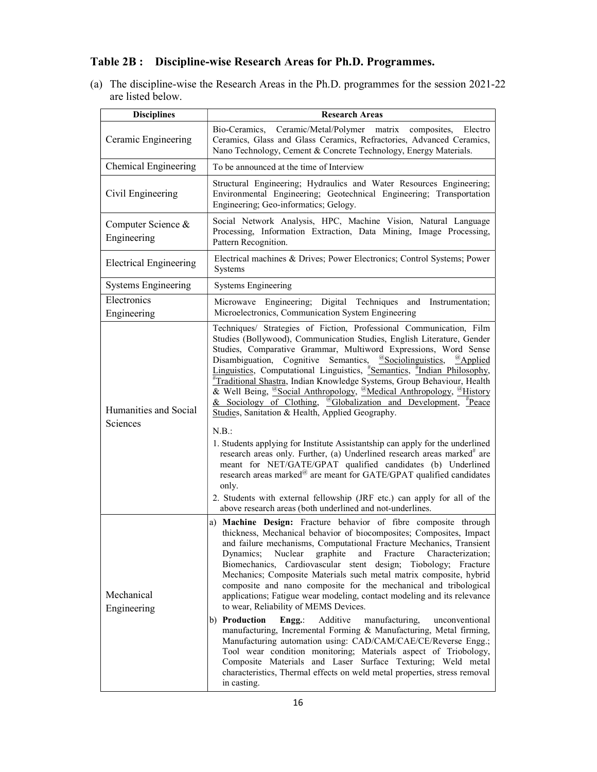# Table 2B : Discipline-wise Research Areas for Ph.D. Programmes.

(a) The discipline-wise the Research Areas in the Ph.D. programmes for the session 2021-22 are listed below.

| <b>Disciplines</b>                | <b>Research Areas</b>                                                                                                                                                                                                                                                                                                                                                                                                                                                                                                                                                                                                                                                                                                                                                                                                                                                                                                                                                                                                                                                                                                                                                                                                       |
|-----------------------------------|-----------------------------------------------------------------------------------------------------------------------------------------------------------------------------------------------------------------------------------------------------------------------------------------------------------------------------------------------------------------------------------------------------------------------------------------------------------------------------------------------------------------------------------------------------------------------------------------------------------------------------------------------------------------------------------------------------------------------------------------------------------------------------------------------------------------------------------------------------------------------------------------------------------------------------------------------------------------------------------------------------------------------------------------------------------------------------------------------------------------------------------------------------------------------------------------------------------------------------|
| Ceramic Engineering               | Bio-Ceramics, Ceramic/Metal/Polymer matrix<br>composites,<br>Electro<br>Ceramics, Glass and Glass Ceramics, Refractories, Advanced Ceramics,<br>Nano Technology, Cement & Concrete Technology, Energy Materials.                                                                                                                                                                                                                                                                                                                                                                                                                                                                                                                                                                                                                                                                                                                                                                                                                                                                                                                                                                                                            |
| <b>Chemical Engineering</b>       | To be announced at the time of Interview                                                                                                                                                                                                                                                                                                                                                                                                                                                                                                                                                                                                                                                                                                                                                                                                                                                                                                                                                                                                                                                                                                                                                                                    |
| Civil Engineering                 | Structural Engineering; Hydraulics and Water Resources Engineering;<br>Environmental Engineering; Geotechnical Engineering; Transportation<br>Engineering; Geo-informatics; Gelogy.                                                                                                                                                                                                                                                                                                                                                                                                                                                                                                                                                                                                                                                                                                                                                                                                                                                                                                                                                                                                                                         |
| Computer Science &<br>Engineering | Social Network Analysis, HPC, Machine Vision, Natural Language<br>Processing, Information Extraction, Data Mining, Image Processing,<br>Pattern Recognition.                                                                                                                                                                                                                                                                                                                                                                                                                                                                                                                                                                                                                                                                                                                                                                                                                                                                                                                                                                                                                                                                |
| <b>Electrical Engineering</b>     | Electrical machines & Drives; Power Electronics; Control Systems; Power<br><b>Systems</b>                                                                                                                                                                                                                                                                                                                                                                                                                                                                                                                                                                                                                                                                                                                                                                                                                                                                                                                                                                                                                                                                                                                                   |
| <b>Systems Engineering</b>        | Systems Engineering                                                                                                                                                                                                                                                                                                                                                                                                                                                                                                                                                                                                                                                                                                                                                                                                                                                                                                                                                                                                                                                                                                                                                                                                         |
| Electronics<br>Engineering        | Microwave Engineering; Digital Techniques and Instrumentation;<br>Microelectronics, Communication System Engineering                                                                                                                                                                                                                                                                                                                                                                                                                                                                                                                                                                                                                                                                                                                                                                                                                                                                                                                                                                                                                                                                                                        |
| Humanities and Social<br>Sciences | Techniques/ Strategies of Fiction, Professional Communication, Film<br>Studies (Bollywood), Communication Studies, English Literature, Gender<br>Studies, Comparative Grammar, Multiword Expressions, Word Sense<br>Disambiguation, Cognitive Semantics, <sup>@</sup> Sociolinguistics, <sup>@</sup> Applied<br>Linguistics, Computational Linguistics, "Semantics, "Indian Philosophy,<br>"Traditional Shastra, Indian Knowledge Systems, Group Behaviour, Health<br>& Well Being, <u><sup>@</sup>Social Anthropology, <sup>@</sup>Medical Anthropology, <sup>@</sup>History</u><br>& Sociology of Clothing, <u><sup>@</sup>Globalization</u> and Development, <sup>#</sup> Peace<br>Studies, Sanitation & Health, Applied Geography.<br>N.B.:<br>1. Students applying for Institute Assistantship can apply for the underlined<br>research areas only. Further, (a) Underlined research areas marked <sup>#</sup> are<br>meant for NET/GATE/GPAT qualified candidates (b) Underlined<br>research areas marked <sup>@</sup> are meant for GATE/GPAT qualified candidates<br>only.<br>2. Students with external fellowship (JRF etc.) can apply for all of the<br>above research areas (both underlined and not-underlines. |
| Mechanical<br>Engineering         | a) Machine Design: Fracture behavior of fibre composite through<br>thickness, Mechanical behavior of biocomposites; Composites, Impact<br>and failure mechanisms, Computational Fracture Mechanics, Transient<br>and Fracture Characterization;<br>Dynamics; Nuclear<br>graphite<br>Cardiovascular stent design; Tiobology; Fracture<br>Biomechanics,<br>Mechanics; Composite Materials such metal matrix composite, hybrid<br>composite and nano composite for the mechanical and tribological<br>applications; Fatigue wear modeling, contact modeling and its relevance<br>to wear, Reliability of MEMS Devices.<br>b) Production<br>Engg.:<br>Additive<br>manufacturing,<br>unconventional<br>manufacturing, Incremental Forming & Manufacturing, Metal firming,<br>Manufacturing automation using: CAD/CAM/CAE/CE/Reverse Engg.;<br>Tool wear condition monitoring; Materials aspect of Triobology,<br>Composite Materials and Laser Surface Texturing; Weld metal<br>characteristics, Thermal effects on weld metal properties, stress removal<br>in casting.                                                                                                                                                         |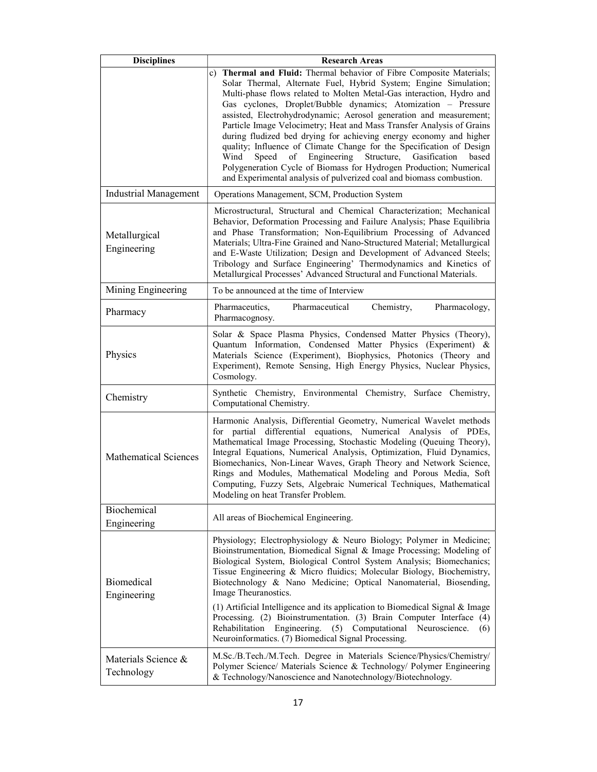| <b>Disciplines</b>                | <b>Research Areas</b>                                                                                                                                                                                                                                                                                                                                                                                                                                                                                                                        |
|-----------------------------------|----------------------------------------------------------------------------------------------------------------------------------------------------------------------------------------------------------------------------------------------------------------------------------------------------------------------------------------------------------------------------------------------------------------------------------------------------------------------------------------------------------------------------------------------|
|                                   | c) Thermal and Fluid: Thermal behavior of Fibre Composite Materials;<br>Solar Thermal, Alternate Fuel, Hybrid System; Engine Simulation;<br>Multi-phase flows related to Molten Metal-Gas interaction, Hydro and<br>Gas cyclones, Droplet/Bubble dynamics; Atomization - Pressure<br>assisted, Electrohydrodynamic; Aerosol generation and measurement;                                                                                                                                                                                      |
|                                   | Particle Image Velocimetry; Heat and Mass Transfer Analysis of Grains<br>during fludized bed drying for achieving energy economy and higher<br>quality; Influence of Climate Change for the Specification of Design<br>of Engineering<br>Structure, Gasification<br>Wind<br>Speed<br>based<br>Polygeneration Cycle of Biomass for Hydrogen Production; Numerical<br>and Experimental analysis of pulverized coal and biomass combustion.                                                                                                     |
| <b>Industrial Management</b>      | Operations Management, SCM, Production System                                                                                                                                                                                                                                                                                                                                                                                                                                                                                                |
| Metallurgical<br>Engineering      | Microstructural, Structural and Chemical Characterization; Mechanical<br>Behavior, Deformation Processing and Failure Analysis; Phase Equilibria<br>and Phase Transformation; Non-Equilibrium Processing of Advanced<br>Materials; Ultra-Fine Grained and Nano-Structured Material; Metallurgical<br>and E-Waste Utilization; Design and Development of Advanced Steels;<br>Tribology and Surface Engineering' Thermodynamics and Kinetics of<br>Metallurgical Processes' Advanced Structural and Functional Materials.                      |
| Mining Engineering                | To be announced at the time of Interview                                                                                                                                                                                                                                                                                                                                                                                                                                                                                                     |
| Pharmacy                          | Pharmaceutics,<br>Pharmaceutical<br>Chemistry,<br>Pharmacology,<br>Pharmacognosy.                                                                                                                                                                                                                                                                                                                                                                                                                                                            |
| Physics                           | Solar & Space Plasma Physics, Condensed Matter Physics (Theory),<br>Quantum Information, Condensed Matter Physics (Experiment) &<br>Materials Science (Experiment), Biophysics, Photonics (Theory and<br>Experiment), Remote Sensing, High Energy Physics, Nuclear Physics,<br>Cosmology.                                                                                                                                                                                                                                                    |
| Chemistry                         | Synthetic Chemistry, Environmental Chemistry, Surface Chemistry,<br>Computational Chemistry.                                                                                                                                                                                                                                                                                                                                                                                                                                                 |
| <b>Mathematical Sciences</b>      | Harmonic Analysis, Differential Geometry, Numerical Wavelet methods<br>for partial differential equations, Numerical Analysis of PDEs,<br>Mathematical Image Processing, Stochastic Modeling (Queuing Theory),<br>Integral Equations, Numerical Analysis, Optimization, Fluid Dynamics,<br>Biomechanics, Non-Linear Waves, Graph Theory and Network Science,<br>Rings and Modules, Mathematical Modeling and Porous Media, Soft<br>Computing, Fuzzy Sets, Algebraic Numerical Techniques, Mathematical<br>Modeling on heat Transfer Problem. |
| Biochemical<br>Engineering        | All areas of Biochemical Engineering.                                                                                                                                                                                                                                                                                                                                                                                                                                                                                                        |
| <b>Biomedical</b><br>Engineering  | Physiology; Electrophysiology & Neuro Biology; Polymer in Medicine;<br>Bioinstrumentation, Biomedical Signal & Image Processing; Modeling of<br>Biological System, Biological Control System Analysis; Biomechanics;<br>Tissue Engineering & Micro fluidics; Molecular Biology, Biochemistry,<br>Biotechnology & Nano Medicine; Optical Nanomaterial, Biosending,<br>Image Theuranostics.                                                                                                                                                    |
|                                   | (1) Artificial Intelligence and its application to Biomedical Signal $\&$ Image<br>Processing. (2) Bioinstrumentation. (3) Brain Computer Interface (4)<br>Engineering.<br>(5) Computational<br>Rehabilitation<br>Neuroscience.<br>(6)<br>Neuroinformatics. (7) Biomedical Signal Processing.                                                                                                                                                                                                                                                |
| Materials Science &<br>Technology | M.Sc./B.Tech./M.Tech. Degree in Materials Science/Physics/Chemistry/<br>Polymer Science/ Materials Science & Technology/ Polymer Engineering<br>& Technology/Nanoscience and Nanotechnology/Biotechnology.                                                                                                                                                                                                                                                                                                                                   |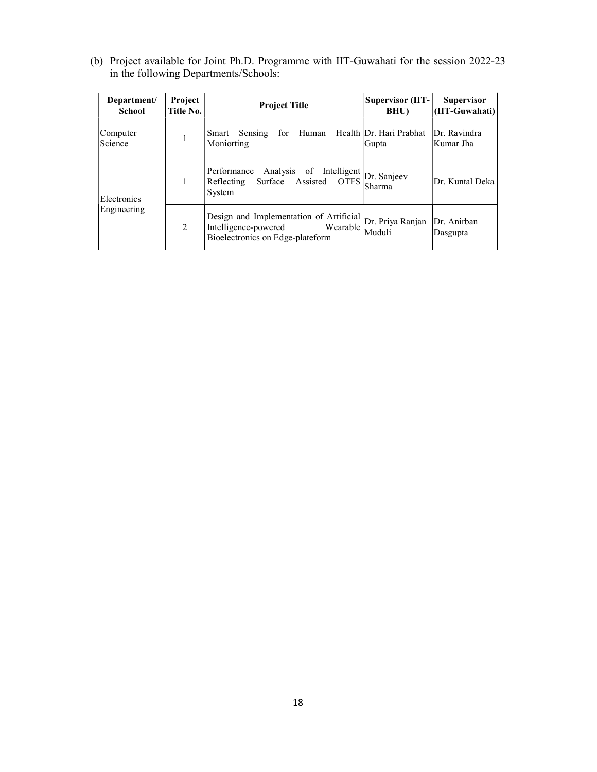(b) Project available for Joint Ph.D. Programme with IIT-Guwahati for the session 2022-23 in the following Departments/Schools:

| Department/<br><b>School</b> | Project<br>Title No. | <b>Project Title</b>                                                                                                                                            | <b>Supervisor (IIT-</b><br>BHU)  | <b>Supervisor</b><br>(IIT-Guwahati) |
|------------------------------|----------------------|-----------------------------------------------------------------------------------------------------------------------------------------------------------------|----------------------------------|-------------------------------------|
| Computer<br>Science          | 1                    | for Human<br>Smart Sensing<br>Moniorting                                                                                                                        | Health Dr. Hari Prabhat<br>Gupta | Dr. Ravindra<br>Kumar Jha           |
| Electronics<br>Engineering   | 1                    | Performance Analysis of Intelligent Dr. Sanjeev<br>Surface Assisted OTFS<br>Reflecting<br>System                                                                | Sharma                           | Dr. Kuntal Deka                     |
|                              | 2                    | Design and Implementation of Artificial $\left  \text{Dr. Priya Ranjan} \right $<br>Intelligence-powered Wearable Mediation<br>Bioelectronics on Edge-plateform | Muduli                           | Dr. Anirban<br>Dasgupta             |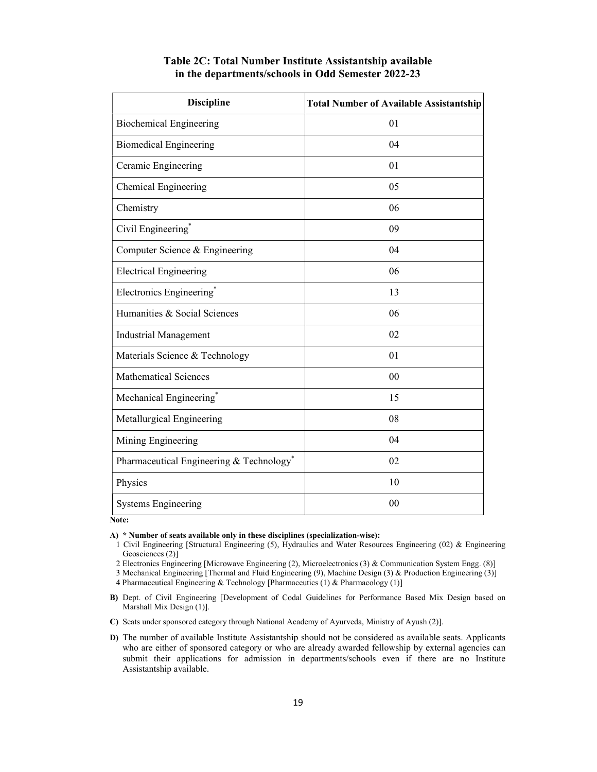| <b>Discipline</b>                        | <b>Total Number of Available Assistantship</b> |
|------------------------------------------|------------------------------------------------|
| <b>Biochemical Engineering</b>           | 01                                             |
| <b>Biomedical Engineering</b>            | 04                                             |
| Ceramic Engineering                      | 01                                             |
| Chemical Engineering                     | 05                                             |
| Chemistry                                | 06                                             |
| Civil Engineering <sup>*</sup>           | 09                                             |
| Computer Science & Engineering           | 04                                             |
| <b>Electrical Engineering</b>            | 06                                             |
| Electronics Engineering*                 | 13                                             |
| Humanities & Social Sciences             | 06                                             |
| <b>Industrial Management</b>             | 02                                             |
| Materials Science & Technology           | 01                                             |
| <b>Mathematical Sciences</b>             | 00                                             |
| Mechanical Engineering <sup>*</sup>      | 15                                             |
| Metallurgical Engineering                | 08                                             |
| Mining Engineering                       | 04                                             |
| Pharmaceutical Engineering & Technology* | 02                                             |
| Physics                                  | 10                                             |
| <b>Systems Engineering</b>               | 00                                             |

# Table 2C: Total Number Institute Assistantship available in the departments/schools in Odd Semester 2022-23

Note:

A) \* Number of seats available only in these disciplines (specialization-wise):

1 Civil Engineering [Structural Engineering (5), Hydraulics and Water Resources Engineering (02) & Engineering Geosciences (2)]

2 Electronics Engineering [Microwave Engineering (2), Microelectronics (3) & Communication System Engg. (8)]

3 Mechanical Engineering [Thermal and Fluid Engineering (9), Machine Design (3) & Production Engineering (3)]

4 Pharmaceutical Engineering & Technology [Pharmaceutics (1) & Pharmacology (1)]

C) Seats under sponsored category through National Academy of Ayurveda, Ministry of Ayush (2)].

B) Dept. of Civil Engineering [Development of Codal Guidelines for Performance Based Mix Design based on Marshall Mix Design (1)].

D) The number of available Institute Assistantship should not be considered as available seats. Applicants who are either of sponsored category or who are already awarded fellowship by external agencies can submit their applications for admission in departments/schools even if there are no Institute Assistantship available.